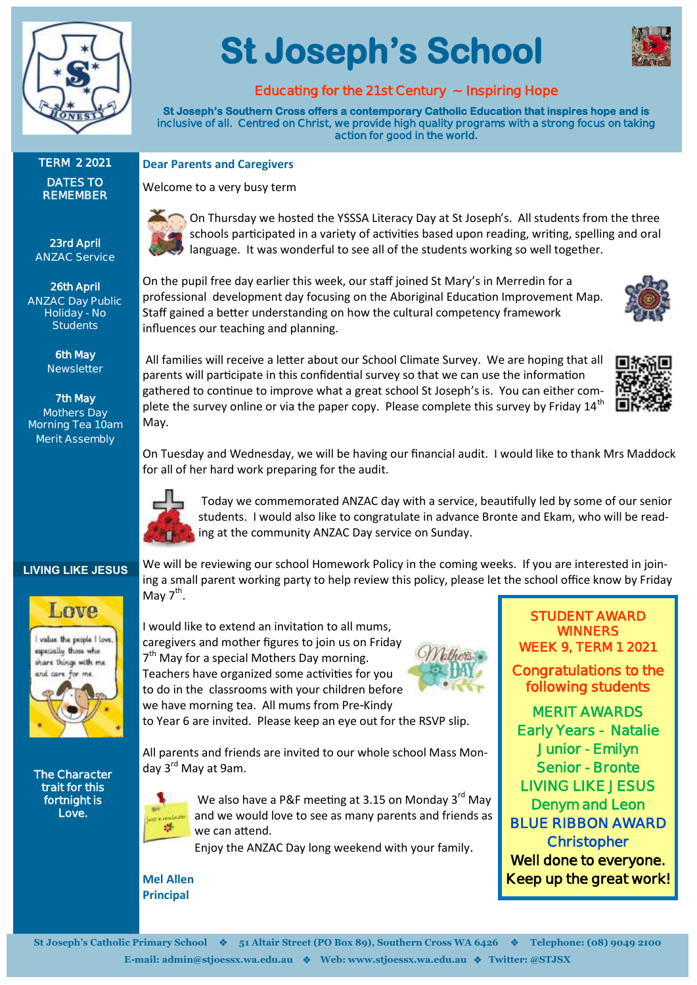

# **St Joseph's School**



#### **Educating for the 21st Century ~ Inspiring Hope**

**St Joseph's Southern Cross offers a contemporary Catholic Education that inspires hope and is inclusive of all. Centred on Christ, we provide high quality programs with a strong focus on taking action for good in the world.** 

#### **TERM 2 2021 DATES TO REMEMBER**

**23rd April ANZAC Service**

**26th April ANZAC Day Public Holiday - No Students**

> **6th May Newsletter**

**7th May Mothers Day Morning Tea 10am Merit Assembly**

**Dear Parents and Caregivers** Welcome to a very busy term

> On Thursday we hosted the YSSSA Literacy Day at St Joseph's. All students from the three schools participated in a variety of activities based upon reading, writing, spelling and oral language. It was wonderful to see all of the students working so well together.

On the pupil free day earlier this week, our staff joined St Mary's in Merredin for a professional development day focusing on the Aboriginal Education Improvement Map. Staff gained a better understanding on how the cultural competency framework influences our teaching and planning.



All families will receive a letter about our School Climate Survey. We are hoping that all parents will participate in this confidential survey so that we can use the information gathered to continue to improve what a great school St Joseph's is. You can either complete the survey online or via the paper copy. Please complete this survey by Friday 14<sup>th</sup> May.



On Tuesday and Wednesday, we will be having our financial audit. I would like to thank Mrs Maddock for all of her hard work preparing for the audit.

We will be reviewing our school Homework Policy in the coming weeks. If you are interested in joining a small parent working party to help review this policy, please let the school office know by Friday



May  $7^{\text{th}}$ .

Today we commemorated ANZAC day with a service, beautifully led by some of our senior students. I would also like to congratulate in advance Bronte and Ekam, who will be reading at the community ANZAC Day service on Sunday.

#### **LIVING LIKE JESUS**

Love



**The Character trait for this fortnight is Love.** 

I would like to extend an invitation to all mums, caregivers and mother figures to join us on Friday 7<sup>th</sup> May for a special Mothers Day morning. Teachers have organized some activities for you to do in the classrooms with your children before we have morning tea. All mums from Pre-Kindy

to Year 6 are invited. Please keep an eye out for the RSVP slip.

All parents and friends are invited to our whole school Mass Monday 3<sup>rd</sup> May at 9am.



We also have a P&F meeting at 3.15 on Monday  $3^{rd}$  May and we would love to see as many parents and friends as we can attend.

Enjoy the ANZAC Day long weekend with your family.

**Mel Allen Principal**

**STUDENT AWARD WINNERS WEEK 9, TERM 1 2021** 

**Congratulations to the following students** 

**MERIT AWARDS Early Years - Natalie Junior - Emilyn Senior - Bronte LIVING LIKE JESUS Denym and Leon BLUE RIBBON AWARD Christopher Well done to everyone. Keep up the great work!**

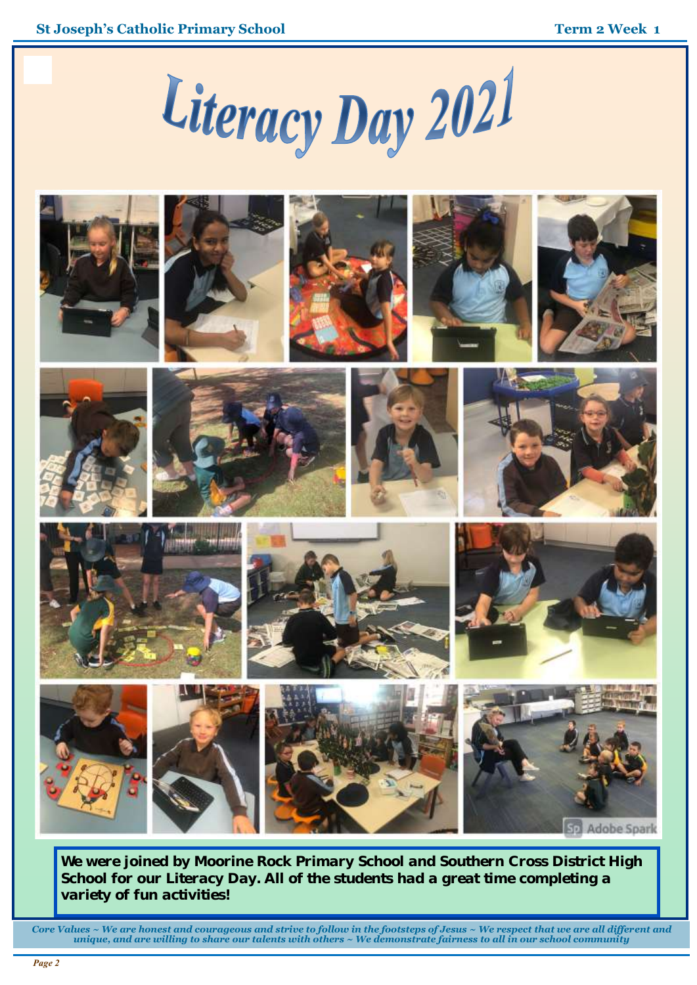#### **Term 2 Week 1**





























*We were joined by Moorine Rock Primary School and Southern Cross District High School for our Literacy Day. All of the students had a great time completing a variety of fun activities!* 

*Core Values ~ We are honest and courageous and strive to follow in the footsteps of Jesus ~ We respect that we are all different and unique, and are willing to share our talents with others ~ We demonstrate fairness to all in our school community*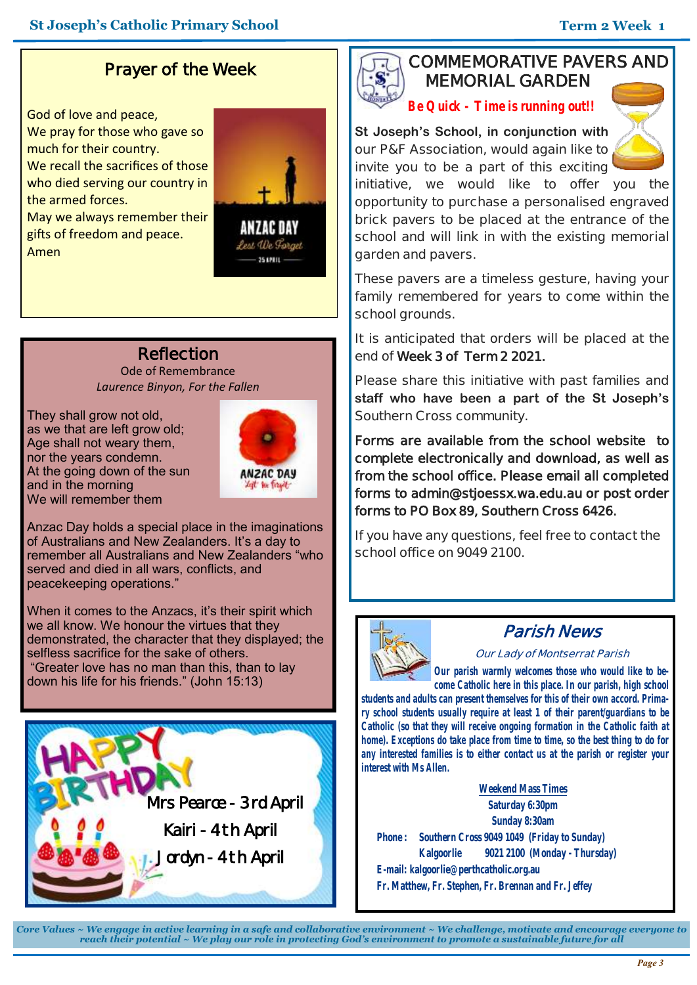## **Prayer of the Week**

God of love and peace, We pray for those who gave so much for their country. We recall the sacrifices of those who died serving our country in the armed forces.



May we always remember their gifts of freedom and peace. Amen

ANZAC DAY Lest We Forget 25 LPRIL -

### **Reflection**

Ode of Remembrance *Laurence Binyon, For the Fallen*

They shall grow not old, as we that are left grow old; Age shall not weary them, nor the years condemn. At the going down of the sun and in the morning We will remember them



Anzac Day holds a special place in the imaginations of Australians and New Zealanders. It's a day to remember all Australians and New Zealanders "who served and died in all wars, conflicts, and peacekeeping operations."

When it comes to the Anzacs, it's their spirit which we all know. We honour the virtues that they demonstrated, the character that they displayed; the selfless sacrifice for the sake of others. "Greater love has no man than this, than to lay down his life for his friends." (John 15:13)



#### **COMMEMORATIVE PAVERS AND MEMORIAL GARDEN**

*Be Quick - Time is running out!!*

**St Joseph's School, in conjunction with our P&F Association, would again like to invite you to be a part of this exciting** 



**initiative, we would like to offer you the opportunity to purchase a personalised engraved brick pavers to be placed at the entrance of the school and will link in with the existing memorial garden and pavers.**

**These pavers are a timeless gesture, having your family remembered for years to come within the school grounds.**

**It is anticipated that orders will be placed at the end of Week 3 of Term 2 2021.** 

**Please share this initiative with past families and staff who have been a part of the St Joseph's Southern Cross community.** 

**Forms are available from the school website to complete electronically and download, as well as from the school office. Please email all completed forms to admin@stjoessx.wa.edu.au or post order forms to PO Box 89, Southern Cross 6426.** 

**If you have any questions, feel free to contact the school office on 9049 2100.**



### **Parish News**

**Our Lady of Montserrat Parish**

*Our parish warmly welcomes those who would like to become Catholic here in this place. In our parish, high school* 

*students and adults can present themselves for this of their own accord. Primary school students usually require at least 1 of their parent/guardians to be Catholic (so that they will receive ongoing formation in the Catholic faith at home). Exceptions do take place from time to time, so the best thing to do for any interested families is to either contact us at the parish or register your interest with Ms Allen.*

**Weekend Mass Times Saturday 6:30pm Sunday 8:30am Phone : Southern Cross 9049 1049 (Friday to Sunday) Kalgoorlie 9021 2100 (Monday - Thursday) E-mail: kalgoorlie@perthcatholic.org.au Fr. Matthew, Fr. Stephen, Fr. Brennan and Fr. Jeffey**

*Core Values ~ We engage in active learning in a safe and collaborative environment ~ We challenge, motivate and encourage everyone to reach their potential ~ We play our role in protecting God's environment to promote a sustainable future for all*